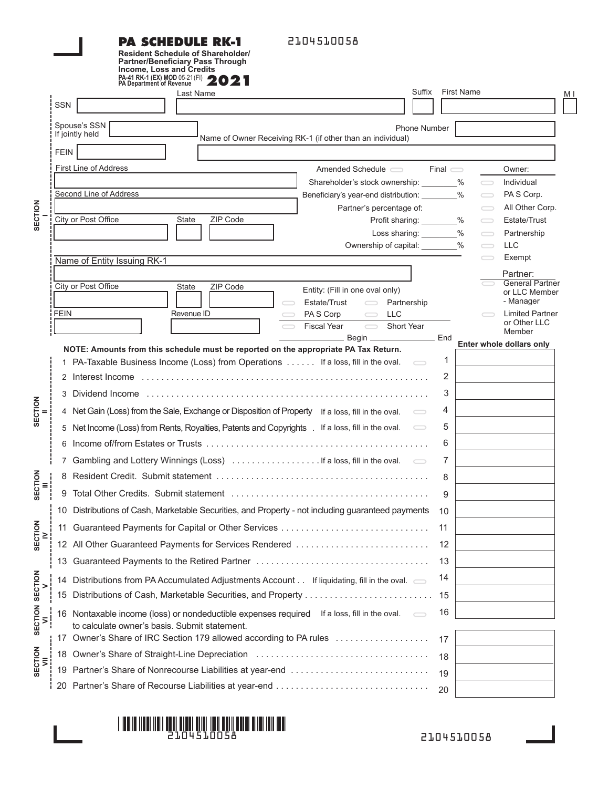#### **PA SCHEDULE RK-1 Resident Schedule of Shareholder/ Partner/Beneficiary Pass Through**

2104510058

|                                          |             | <b>Income, Loss and Credits</b><br>PA-41 RK-1 (EX) MOD 05-21 (FI) 2021                                                                                                                                                         |                                                                                                      |                   |                   |                        |                                    |
|------------------------------------------|-------------|--------------------------------------------------------------------------------------------------------------------------------------------------------------------------------------------------------------------------------|------------------------------------------------------------------------------------------------------|-------------------|-------------------|------------------------|------------------------------------|
|                                          | SSN         | Last Name                                                                                                                                                                                                                      | Suffix                                                                                               |                   | <b>First Name</b> |                        | M I                                |
|                                          |             |                                                                                                                                                                                                                                |                                                                                                      |                   |                   |                        |                                    |
|                                          |             | Spouse's SSN<br>If jointly held                                                                                                                                                                                                | Phone Number                                                                                         |                   |                   |                        |                                    |
|                                          | <b>FEIN</b> | Name of Owner Receiving RK-1 (if other than an individual)                                                                                                                                                                     |                                                                                                      |                   |                   |                        |                                    |
|                                          |             | First Line of Address                                                                                                                                                                                                          | Amended Schedule $\equiv$                                                                            | $Final \subseteq$ |                   |                        | Owner:                             |
|                                          |             |                                                                                                                                                                                                                                |                                                                                                      |                   |                   | $\bigcirc$             | Individual                         |
|                                          |             | Second Line of Address                                                                                                                                                                                                         | Beneficiary's year-end distribution: ________%                                                       |                   |                   | $\bigcirc$             | PAS Corp.                          |
| SECTION                                  |             |                                                                                                                                                                                                                                | Partner's percentage of:                                                                             |                   |                   | $\bigcirc$             | All Other Corp.                    |
|                                          |             | City or Post Office<br>ZIP Code<br>State                                                                                                                                                                                       | Profit sharing: ________%                                                                            |                   |                   | $\bigcirc$             | Estate/Trust                       |
|                                          |             |                                                                                                                                                                                                                                | Loss sharing: ________%                                                                              |                   |                   | $\qquad \qquad \qquad$ | Partnership                        |
|                                          |             |                                                                                                                                                                                                                                | Ownership of capital: ________%                                                                      |                   |                   | $\qquad \qquad$        | <b>LLC</b><br>Exempt               |
|                                          |             | Name of Entity Issuing RK-1                                                                                                                                                                                                    |                                                                                                      |                   |                   |                        |                                    |
|                                          |             | City or Post Office<br>ZIP Code<br>State                                                                                                                                                                                       |                                                                                                      |                   |                   |                        | Partner:<br><b>General Partner</b> |
|                                          |             |                                                                                                                                                                                                                                | Entity: (Fill in one oval only)<br>Estate/Trust<br>$\qquad \qquad \qquad \qquad \Box$<br>Partnership |                   |                   |                        | or LLC Member<br>- Manager         |
|                                          | <b>FEIN</b> | Revenue ID                                                                                                                                                                                                                     | <b>LLC</b><br>PA S Corp<br>$\overline{\phantom{0}}$                                                  |                   |                   |                        | <b>Limited Partner</b>             |
|                                          |             |                                                                                                                                                                                                                                | $\overline{\phantom{0}}$<br><b>Fiscal Year</b><br>Short Year                                         |                   |                   |                        | or Other LLC<br>Member             |
|                                          |             |                                                                                                                                                                                                                                | Begin __________________________ End                                                                 |                   |                   |                        | Enter whole dollars only           |
| SECTION                                  |             | NOTE: Amounts from this schedule must be reported on the appropriate PA Tax Return.<br>1 PA-Taxable Business Income (Loss) from Operations If a loss, fill in the oval.                                                        |                                                                                                      | 1                 |                   |                        |                                    |
|                                          |             |                                                                                                                                                                                                                                |                                                                                                      | 2                 |                   |                        |                                    |
|                                          |             |                                                                                                                                                                                                                                |                                                                                                      |                   |                   |                        |                                    |
|                                          |             |                                                                                                                                                                                                                                |                                                                                                      | 3                 |                   |                        |                                    |
|                                          |             | 4 Net Gain (Loss) from the Sale, Exchange or Disposition of Property If a loss, fill in the oval.                                                                                                                              |                                                                                                      | 4                 |                   |                        |                                    |
|                                          |             | 5 Net Income (Loss) from Rents, Royalties, Patents and Copyrights . If a loss, fill in the oval.                                                                                                                               | $\qquad \qquad \qquad \Box$                                                                          | 5                 |                   |                        |                                    |
|                                          |             |                                                                                                                                                                                                                                |                                                                                                      | 6                 |                   |                        |                                    |
|                                          |             | Gambling and Lottery Winnings (Loss)  If a loss, fill in the oval.                                                                                                                                                             |                                                                                                      | 7                 |                   |                        |                                    |
| <b>SECTION</b>                           |             |                                                                                                                                                                                                                                |                                                                                                      | 8                 |                   |                        |                                    |
|                                          | 9           | Total Other Credits. Submit statement (and the content of the content of the content of the content of the content of the content of the content of the content of the content of the content of the content of the content of |                                                                                                      | 9                 |                   |                        |                                    |
| SECTION<br>≥<br>SECTION<br>SECTION<br>Σj |             | 10 Distributions of Cash. Marketable Securities, and Property - not including quaranteed payments 10                                                                                                                           |                                                                                                      |                   |                   |                        |                                    |
|                                          |             | 11 Guaranteed Payments for Capital or Other Services                                                                                                                                                                           |                                                                                                      | -11               |                   |                        |                                    |
|                                          |             | 12 All Other Guaranteed Payments for Services Rendered                                                                                                                                                                         |                                                                                                      | 12                |                   |                        |                                    |
|                                          | 13          |                                                                                                                                                                                                                                |                                                                                                      | 13                |                   |                        |                                    |
|                                          | 14          | Distributions from PA Accumulated Adjustments Account If liquidating, fill in the oval. $\qquad \qquad \qquad$                                                                                                                 |                                                                                                      | 14                |                   |                        |                                    |
|                                          | 15          | Distributions of Cash, Marketable Securities, and Property                                                                                                                                                                     |                                                                                                      | 15                |                   |                        |                                    |
|                                          |             | 16 Nontaxable income (loss) or nondeductible expenses required If a loss, fill in the oval.                                                                                                                                    |                                                                                                      | 16                |                   |                        |                                    |
|                                          |             | to calculate owner's basis. Submit statement.<br>Owner's Share of IRC Section 179 allowed according to PA rules                                                                                                                |                                                                                                      | 17                |                   |                        |                                    |
| SECTION                                  |             |                                                                                                                                                                                                                                |                                                                                                      | 18                |                   |                        |                                    |
|                                          |             | 19 Partner's Share of Nonrecourse Liabilities at year-end                                                                                                                                                                      |                                                                                                      | 19                |                   |                        |                                    |
|                                          |             |                                                                                                                                                                                                                                |                                                                                                      | 20                |                   |                        |                                    |
|                                          |             |                                                                                                                                                                                                                                |                                                                                                      |                   |                   |                        |                                    |

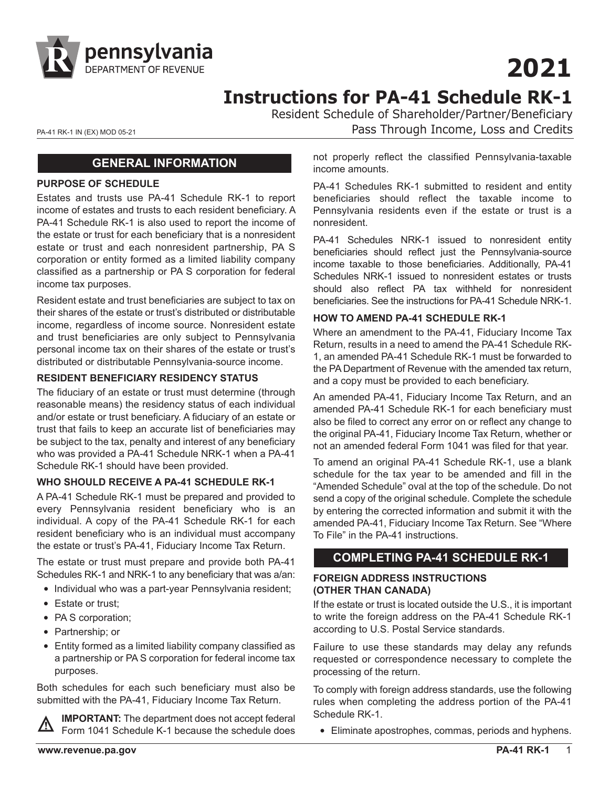

# **2021**

**Instructions for PA-41 Schedule RK-1**

Resident Schedule of Shareholder/Partner/Beneficiary

PA-41 RK-1 IN (EX) MOD 05-21 **PA-41 RK-1 IN (EX) MOD 05-21 Pass Through Income, Loss and Credits** 

## **GENERAL INFORMATION**

#### **PURPOSE OF SCHEDULE**

Estates and trusts use PA-41 Schedule RK-1 to report income of estates and trusts to each resident beneficiary. A PA-41 Schedule RK-1 is also used to report the income of the estate or trust for each beneficiary that is a nonresident estate or trust and each nonresident partnership, PA S corporation or entity formed as a limited liability company classified as a partnership or PA S corporation for federal income tax purposes.

Resident estate and trust beneficiaries are subject to tax on their shares of the estate or trust's distributed or distributable income, regardless of income source. Nonresident estate and trust beneficiaries are only subject to Pennsylvania personal income tax on their shares of the estate or trust's distributed or distributable Pennsylvania-source income.

#### **RESIDENT BENEFICIARY RESIDENCY STATUS**

The fiduciary of an estate or trust must determine (through reasonable means) the residency status of each individual and/or estate or trust beneficiary. A fiduciary of an estate or trust that fails to keep an accurate list of beneficiaries may be subject to the tax, penalty and interest of any beneficiary who was provided a PA-41 Schedule NRK-1 when a PA-41 Schedule RK-1 should have been provided.

#### **WHO SHOULD RECEIVE A PA-41 SCHEDULE RK-1**

A PA-41 Schedule RK-1 must be prepared and provided to every Pennsylvania resident beneficiary who is an individual. A copy of the PA-41 Schedule RK-1 for each resident beneficiary who is an individual must accompany the estate or trust's PA-41, Fiduciary Income Tax Return.

The estate or trust must prepare and provide both PA-41 Schedules RK-1 and NRK-1 to any beneficiary that was a/an:

- Individual who was a part-year Pennsylvania resident;
- Estate or trust;
- PA S corporation;
- Partnership; or
- Entity formed as a limited liability company classified as a partnership or PA S corporation for federal income tax purposes.

Both schedules for each such beneficiary must also be submitted with the PA-41, Fiduciary Income Tax Return.

**IMPORTANT:** The department does not accept federal Form 1041 Schedule K-1 because the schedule does

not properly reflect the classified Pennsylvania-taxable income amounts.

PA-41 Schedules RK-1 submitted to resident and entity beneficiaries should reflect the taxable income to Pennsylvania residents even if the estate or trust is a nonresident.

PA-41 Schedules NRK-1 issued to nonresident entity beneficiaries should reflect just the Pennsylvania-source income taxable to those beneficiaries. Additionally, PA-41 Schedules NRK-1 issued to nonresident estates or trusts should also reflect PA tax withheld for nonresident beneficiaries. See the instructions for PA-41 Schedule NRK-1.

#### **HOW TO AMEND PA-41 SCHEDULE RK-1**

Where an amendment to the PA-41, Fiduciary Income Tax Return, results in a need to amend the PA-41 Schedule RK-1, an amended PA-41 Schedule RK-1 must be forwarded to the PA Department of Revenue with the amended tax return, and a copy must be provided to each beneficiary.

An amended PA-41, Fiduciary Income Tax Return, and an amended PA-41 Schedule RK-1 for each beneficiary must also be filed to correct any error on or reflect any change to the original PA-41, Fiduciary Income Tax Return, whether or not an amended federal Form 1041 was filed for that year.

To amend an original PA-41 Schedule RK-1, use a blank schedule for the tax year to be amended and fill in the "Amended Schedule" oval at the top of the schedule. Do not send a copy of the original schedule. Complete the schedule by entering the corrected information and submit it with the amended PA-41, Fiduciary Income Tax Return. See "Where To File" in the PA-41 instructions.

# **COMPLETING PA-41 SCHEDULE RK-1**

#### **FOREIGN ADDRESS INSTRUCTIONS (OTHER THAN CANADA)**

If the estate or trust is located outside the U.S., it is important to write the foreign address on the PA-41 Schedule RK-1 according to U.S. Postal Service standards.

Failure to use these standards may delay any refunds requested or correspondence necessary to complete the processing of the return.

To comply with foreign address standards, use the following rules when completing the address portion of the PA-41 Schedule RK-1.

• Eliminate apostrophes, commas, periods and hyphens.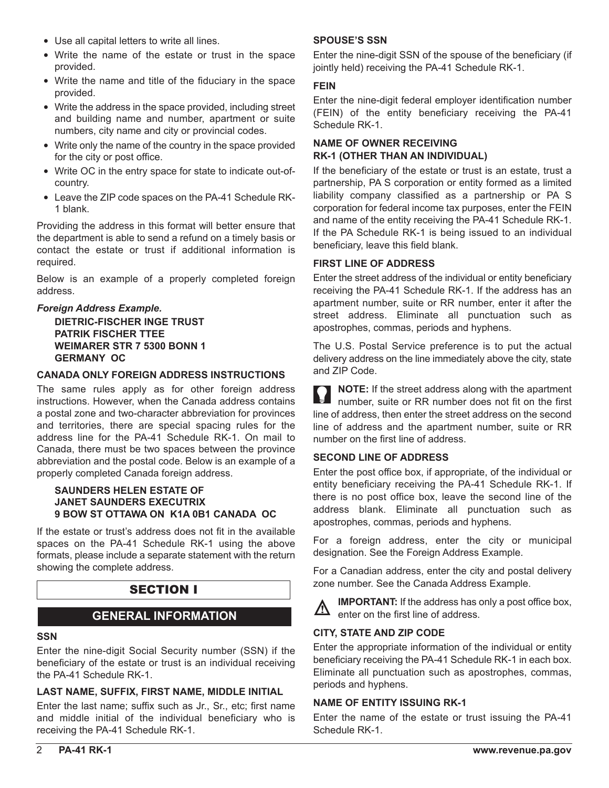- Use all capital letters to write all lines.
- Write the name of the estate or trust in the space provided.
- Write the name and title of the fiduciary in the space provided.
- Write the address in the space provided, including street and building name and number, apartment or suite numbers, city name and city or provincial codes.
- Write only the name of the country in the space provided for the city or post office.
- Write OC in the entry space for state to indicate out-ofcountry.
- Leave the ZIP code spaces on the PA-41 Schedule RK-1 blank.

Providing the address in this format will better ensure that the department is able to send a refund on a timely basis or contact the estate or trust if additional information is required.

Below is an example of a properly completed foreign address.

#### *Foreign Address Example.*

 **DIETRIC-FISCHER INGE TRUST PATRIK FISCHER TTEE WEIMARER STR 7 5300 BONN 1 GERMANY OC**

#### **CANADA ONLY FOREIGN ADDRESS INSTRUCTIONS**

The same rules apply as for other foreign address instructions. However, when the Canada address contains a postal zone and two-character abbreviation for provinces and territories, there are special spacing rules for the address line for the PA-41 Schedule RK-1. On mail to Canada, there must be two spaces between the province abbreviation and the postal code. Below is an example of a properly completed Canada foreign address.

#### **SAUNDERS HELEN ESTATE OF JANET SAUNDERS EXECUTRIX 9 BOW ST OTTAWA ON K1A 0B1 CANADA OC**

If the estate or trust's address does not fit in the available spaces on the PA-41 Schedule RK-1 using the above formats, please include a separate statement with the return showing the complete address.

# SECTION I

# **GENERAL INFORMATION**

#### **SSN**

Enter the nine-digit Social Security number (SSN) if the beneficiary of the estate or trust is an individual receiving the PA-41 Schedule RK-1.

#### **LAST NAME, SUFFIX, FIRST NAME, MIDDLE INITIAL**

Enter the last name; suffix such as Jr., Sr., etc; first name and middle initial of the individual beneficiary who is receiving the PA-41 Schedule RK-1.

#### **SPOUSE'S SSN**

Enter the nine-digit SSN of the spouse of the beneficiary (if jointly held) receiving the PA-41 Schedule RK-1.

#### **FEIN**

Enter the nine-digit federal employer identification number (FEIN) of the entity beneficiary receiving the PA-41 Schedule RK-1.

### **NAME OF OWNER RECEIVING RK-1 (OTHER THAN AN INDIVIDUAL)**

If the beneficiary of the estate or trust is an estate, trust a partnership, PA S corporation or entity formed as a limited liability company classified as a partnership or PA S corporation for federal income tax purposes, enter the FEIN and name of the entity receiving the PA-41 Schedule RK-1. If the PA Schedule RK-1 is being issued to an individual beneficiary, leave this field blank.

#### **FIRST LINE OF ADDRESS**

Enter the street address of the individual or entity beneficiary receiving the PA-41 Schedule RK-1. If the address has an apartment number, suite or RR number, enter it after the street address. Eliminate all punctuation such as apostrophes, commas, periods and hyphens.

The U.S. Postal Service preference is to put the actual delivery address on the line immediately above the city, state and ZIP Code.

**NOTE:** If the street address along with the apartment number, suite or RR number does not fit on the first line of address, then enter the street address on the second line of address and the apartment number, suite or RR number on the first line of address.

#### **SECOND LINE OF ADDRESS**

Enter the post office box, if appropriate, of the individual or entity beneficiary receiving the PA-41 Schedule RK-1. If there is no post office box, leave the second line of the address blank. Eliminate all punctuation such as apostrophes, commas, periods and hyphens.

For a foreign address, enter the city or municipal designation. See the Foreign Address Example.

For a Canadian address, enter the city and postal delivery zone number. See the Canada Address Example.



**IMPORTANT:** If the address has only a post office box, enter on the first line of address.

#### **CITY, STATE AND ZIP CODE**

Enter the appropriate information of the individual or entity beneficiary receiving the PA-41 Schedule RK-1 in each box. Eliminate all punctuation such as apostrophes, commas, periods and hyphens.

#### **NAME OF ENTITY ISSUING RK-1**

Enter the name of the estate or trust issuing the PA-41 Schedule RK-1.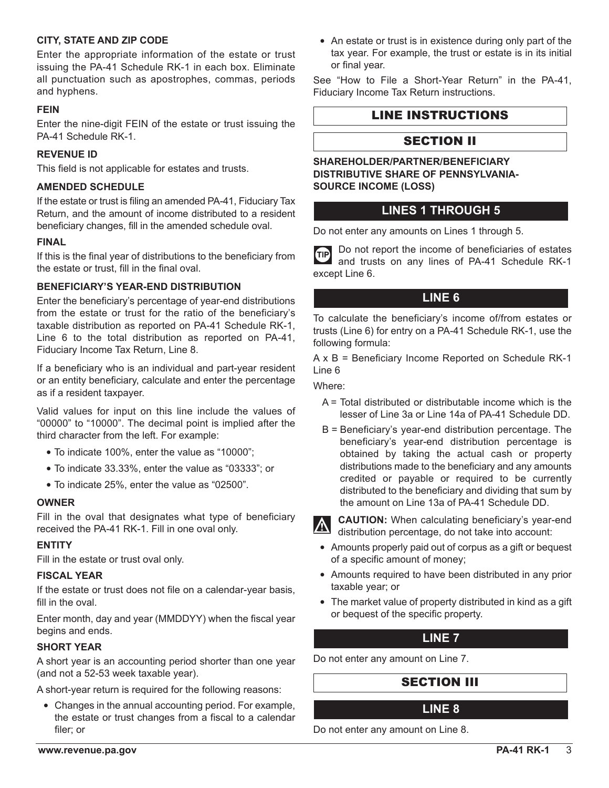#### **CITY, STATE AND ZIP CODE**

Enter the appropriate information of the estate or trust issuing the PA-41 Schedule RK-1 in each box. Eliminate all punctuation such as apostrophes, commas, periods and hyphens.

#### **FEIN**

Enter the nine-digit FEIN of the estate or trust issuing the PA-41 Schedule RK-1.

#### **REVENUE ID**

This field is not applicable for estates and trusts.

#### **AMENDED SCHEDULE**

If the estate or trust is filing an amended PA-41, Fiduciary Tax Return, and the amount of income distributed to a resident beneficiary changes, fill in the amended schedule oval.

#### **FINAL**

If this is the final year of distributions to the beneficiary from the estate or trust, fill in the final oval.

### **BENEFICIARY'S YEAR-END DISTRIBUTION**

Enter the beneficiary's percentage of year-end distributions from the estate or trust for the ratio of the beneficiary's taxable distribution as reported on PA-41 Schedule RK-1, Line 6 to the total distribution as reported on PA-41, Fiduciary Income Tax Return, Line 8.

If a beneficiary who is an individual and part-year resident or an entity beneficiary, calculate and enter the percentage as if a resident taxpayer.

Valid values for input on this line include the values of "00000" to "10000". The decimal point is implied after the third character from the left. For example:

- To indicate 100%, enter the value as "10000";
- To indicate 33.33%, enter the value as "03333"; or
- To indicate 25%, enter the value as "02500".

#### **OWNER**

Fill in the oval that designates what type of beneficiary received the PA-41 RK-1. Fill in one oval only.

#### **ENTITY**

Fill in the estate or trust oval only.

#### **FISCAL YEAR**

If the estate or trust does not file on a calendar-year basis, fill in the oval.

Enter month, day and year (MMDDYY) when the fiscal year begins and ends.

#### **SHORT YEAR**

A short year is an accounting period shorter than one year (and not a 52-53 week taxable year).

A short-year return is required for the following reasons:

• Changes in the annual accounting period. For example, the estate or trust changes from a fiscal to a calendar filer; or

• An estate or trust is in existence during only part of the tax year. For example, the trust or estate is in its initial or final year.

See "How to File a Short-Year Return" in the PA-41, Fiduciary Income Tax Return instructions.

# LINE INSTRUCTIONS

# SECTION II

#### **SHAREHOLDER/PARTNER/BENEFICIARY DISTRIBUTIVE SHARE OF PENNSYLVANIA-SOURCE INCOME (LOSS)**

# **LINES 1 THROUGH 5**

Do not enter any amounts on Lines 1 through 5.

Do not report the income of beneficiaries of estates **GP** and trusts on any lines of PA-41 Schedule RK-1 except Line 6.

# **LINE 6**

To calculate the beneficiary's income of/from estates or trusts (Line 6) for entry on a PA-41 Schedule RK-1, use the following formula:

A x B = Beneficiary Income Reported on Schedule RK-1 Line 6

Where:

- A = Total distributed or distributable income which is the lesser of Line 3a or Line 14a of PA-41 Schedule DD.
- B = Beneficiary's year-end distribution percentage. The beneficiary's year-end distribution percentage is obtained by taking the actual cash or property distributions made to the beneficiary and any amounts credited or payable or required to be currently distributed to the beneficiary and dividing that sum by the amount on Line 13a of PA-41 Schedule DD.



**CAUTION:** When calculating beneficiary's year-end distribution percentage, do not take into account:

- Amounts properly paid out of corpus as a gift or bequest of a specific amount of money;
- Amounts required to have been distributed in any prior taxable year; or
- The market value of property distributed in kind as a gift or bequest of the specific property.

# **LINE 7**

Do not enter any amount on Line 7.

# SECTION III

# **LINE 8**

Do not enter any amount on Line 8.